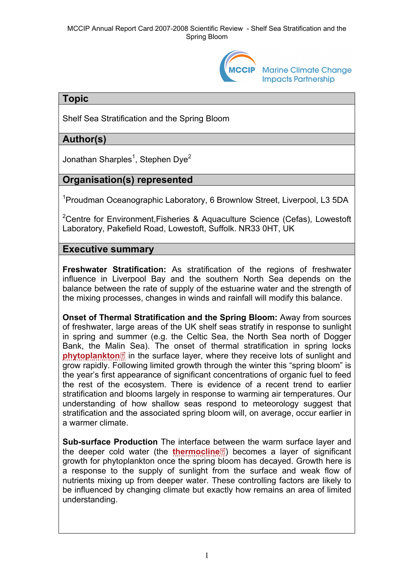

**Marine Climate Change Impacts Partnership** 

## **Topic**

Shelf Sea Stratification and the Spring Bloom

# **Author(s)**

Jonathan Sharples<sup>1</sup>, Stephen Dye<sup>2</sup>

## **Organisation(s) represented**

<sup>1</sup> Proudman Oceanographic Laboratory, 6 Brownlow Street, Liverpool, L3 5DA

<sup>2</sup>Centre for Environment, Fisheries & Aquaculture Science (Cefas), Lowestoft Laboratory, Pakefield Road, Lowestoft, Suffolk. NR33 0HT, UK

### **Executive summary**

**Freshwater Stratification:** As stratification of the regions of freshwater influence in Liverpool Bay and the southern North Sea depends on the balance between the rate of supply of the estuarine water and the strength of the mixing processes, changes in winds and rainfall will modify this balance.

**Onset of Thermal Stratification and the Spring Bloom:** Away from sources of freshwater, large areas of the UK shelf seas stratify in response to sunlight in spring and summer (e.g. the Celtic Sea, the North Sea north of Dogger Bank, the Ma[lin](http://www.mccip.org.uk/arc/2007/glossary.htm) Sea). The onset of thermal stratification in spring locks **[phytoplankton](http://www.mccip.org.uk/arc/2007/glossary.htm#Phytoplankton)**<sup>2</sup> in the surface layer, where they receive lots of sunlight and grow rapidly. Following limited growth through the winter this "spring bloom" is the year's first appearance of significant concentrations of organic fuel to feed the rest of the ecosystem. There is evidence of a recent trend to earlier stratification and blooms largely in response to warming air temperatures. Our understanding of how shallow seas respond to meteorology suggest that stratification and the associated spring bloom will, on average, occur earlier in a warmer climate.

**Sub-surface Production** The interface [betw](http://www.mccip.org.uk/arc/2007/glossary.htm)een the warm surface layer and the deeper cold water (the **[thermocline](http://www.mccip.org.uk/arc/2007/glossary.htm#Thermocline)**<sup><sup>2</sup>)</sub> becomes a layer of significant</sup> growth for phytoplankton once the spring bloom has decayed. Growth here is a response to the supply of sunlight from the surface and weak flow of nutrients mixing up from deeper water. These controlling factors are likely to be influenced by changing climate but exactly how remains an area of limited understanding.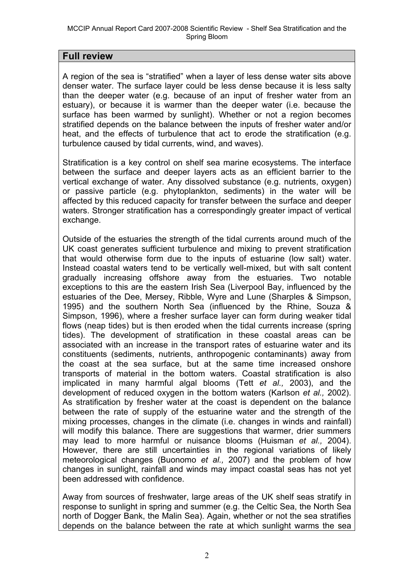### **Full review**

A region of the sea is "stratified" when a layer of less dense water sits above denser water. The surface layer could be less dense because it is less salty than the deeper water (e.g. because of an input of fresher water from an estuary), or because it is warmer than the deeper water (i.e. because the surface has been warmed by sunlight). Whether or not a region becomes stratified depends on the balance between the inputs of fresher water and/or heat, and the effects of turbulence that act to erode the stratification (e.g. turbulence caused by tidal currents, wind, and waves).

Stratification is a key control on shelf sea marine ecosystems. The interface between the surface and deeper layers acts as an efficient barrier to the vertical exchange of water. Any dissolved substance (e.g. nutrients, oxygen) or passive particle (e.g. phytoplankton, sediments) in the water will be affected by this reduced capacity for transfer between the surface and deeper waters. Stronger stratification has a correspondingly greater impact of vertical exchange.

Outside of the estuaries the strength of the tidal currents around much of the UK coast generates sufficient turbulence and mixing to prevent stratification that would otherwise form due to the inputs of estuarine (low salt) water. Instead coastal waters tend to be vertically well-mixed, but with salt content gradually increasing offshore away from the estuaries. Two notable exceptions to this are the eastern Irish Sea (Liverpool Bay, influenced by the estuaries of the Dee, Mersey, Ribble, Wyre and Lune (Sharples & Simpson, 1995) and the southern North Sea (influenced by the Rhine, Souza & Simpson, 1996), where a fresher surface layer can form during weaker tidal flows (neap tides) but is then eroded when the tidal currents increase (spring tides). The development of stratification in these coastal areas can be associated with an increase in the transport rates of estuarine water and its constituents (sediments, nutrients, anthropogenic contaminants) away from the coast at the sea surface, but at the same time increased onshore transports of material in the bottom waters. Coastal stratification is also implicated in many harmful algal blooms (Tett *et al.,* 2003), and the development of reduced oxygen in the bottom waters (Karlson *et al.,* 2002). As stratification by fresher water at the coast is dependent on the balance between the rate of supply of the estuarine water and the strength of the mixing processes, changes in the climate (i.e. changes in winds and rainfall) will modify this balance. There are suggestions that warmer, drier summers may lead to more harmful or nuisance blooms (Huisman *et al.,* 2004). However, there are still uncertainties in the regional variations of likely meteorological changes (Buonomo *et al.,* 2007) and the problem of how changes in sunlight, rainfall and winds may impact coastal seas has not yet been addressed with confidence.

Away from sources of freshwater, large areas of the UK shelf seas stratify in response to sunlight in spring and summer (e.g. the Celtic Sea, the North Sea north of Dogger Bank, the Malin Sea). Again, whether or not the sea stratifies depends on the balance between the rate at which sunlight warms the sea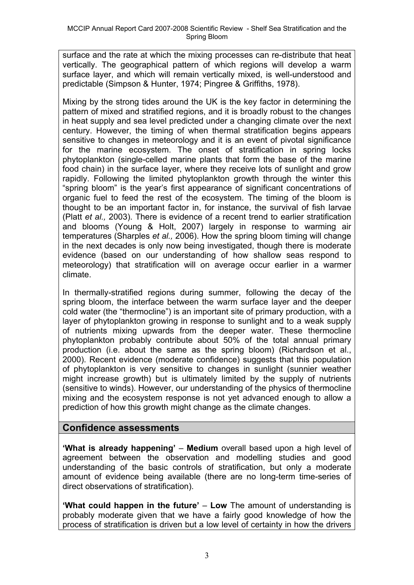surface and the rate at which the mixing processes can re-distribute that heat vertically. The geographical pattern of which regions will develop a warm surface layer, and which will remain vertically mixed, is well-understood and predictable (Simpson & Hunter, 1974; Pingree & Griffiths, 1978).

Mixing by the strong tides around the UK is the key factor in determining the pattern of mixed and stratified regions, and it is broadly robust to the changes in heat supply and sea level predicted under a changing climate over the next century. However, the timing of when thermal stratification begins appears sensitive to changes in meteorology and it is an event of pivotal significance for the marine ecosystem. The onset of stratification in spring locks phytoplankton (single-celled marine plants that form the base of the marine food chain) in the surface layer, where they receive lots of sunlight and grow rapidly. Following the limited phytoplankton growth through the winter this "spring bloom" is the year's first appearance of significant concentrations of organic fuel to feed the rest of the ecosystem. The timing of the bloom is thought to be an important factor in, for instance, the survival of fish larvae (Platt *et al.,* 2003). There is evidence of a recent trend to earlier stratification and blooms (Young & Holt, 2007) largely in response to warming air temperatures (Sharples *et al.,* 2006). How the spring bloom timing will change in the next decades is only now being investigated, though there is moderate evidence (based on our understanding of how shallow seas respond to meteorology) that stratification will on average occur earlier in a warmer climate.

In thermally-stratified regions during summer, following the decay of the spring bloom, the interface between the warm surface layer and the deeper cold water (the "thermocline") is an important site of primary production, with a layer of phytoplankton growing in response to sunlight and to a weak supply of nutrients mixing upwards from the deeper water. These thermocline phytoplankton probably contribute about 50% of the total annual primary production (i.e. about the same as the spring bloom) (Richardson et al., 2000). Recent evidence (moderate confidence) suggests that this population of phytoplankton is very sensitive to changes in sunlight (sunnier weather might increase growth) but is ultimately limited by the supply of nutrients (sensitive to winds). However, our understanding of the physics of thermocline mixing and the ecosystem response is not yet advanced enough to allow a prediction of how this growth might change as the climate changes.

### **Confidence assessments**

**'What is already happening' – Medium** overall based upon a high level of agreement between the observation and modelling studies and good understanding of the basic controls of stratification, but only a moderate amount of evidence being available (there are no long-term time-series of direct observations of stratification).

**'What could happen in the future'** – **Low** The amount of understanding is probably moderate given that we have a fairly good knowledge of how the process of stratification is driven but a low level of certainty in how the drivers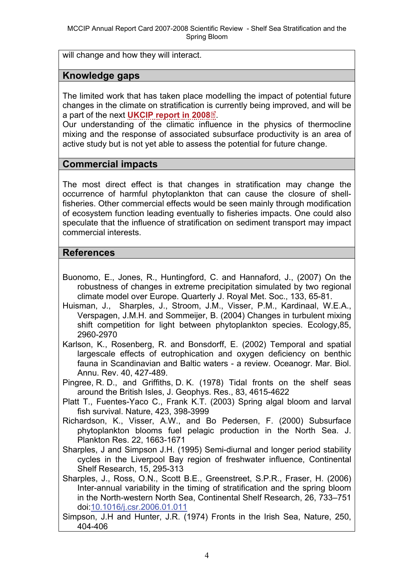will change and how they will interact.

#### **Knowledge gaps**

The limited work that has taken place modelling the impact of potential future changes in the climate on stratification [is c](http://www.mccip.org.uk/arc/2007/glossary.htm)urrently being improved, and will be a part of the next **[UKCIP report in 2008](http://www.mccip.org.uk/arc/2007/glossary.htm#UKCIP08)** .

Our understanding of the climatic influence in the physics of thermocline mixing and the response of associated subsurface productivity is an area of active study but is not yet able to assess the potential for future change.

#### **Commercial impacts**

The most direct effect is that changes in stratification may change the occurrence of harmful phytoplankton that can cause the closure of shellfisheries. Other commercial effects would be seen mainly through modification of ecosystem function leading eventually to fisheries impacts. One could also speculate that the influence of stratification on sediment transport may impact commercial interests.

### **References**

- Buonomo, E., Jones, R., Huntingford, C. and Hannaford, J., (2007) On the robustness of changes in extreme precipitation simulated by two regional climate model over Europe. Quarterly J. Royal Met. Soc., 133, 65-81.
- Huisman, J., Sharples, J., Stroom, J.M., Visser, P.M., Kardinaal, W.E.A., Verspagen, J.M.H. and Sommeijer, B. (2004) Changes in turbulent mixing shift competition for light between phytoplankton species. Ecology,85, 2960-2970
- Karlson, K., Rosenberg, R. and Bonsdorff, E. (2002) Temporal and spatial largescale effects of eutrophication and oxygen deficiency on benthic fauna in Scandinavian and Baltic waters - a review. Oceanogr. Mar. Biol. Annu. Rev. 40, 427-489.
- Pingree, R. D., and Griffiths, D. K. (1978) Tidal fronts on the shelf seas around the British Isles, J. Geophys. Res., 83, 4615-4622
- Platt T., Fuentes-Yaco C., Frank K.T. (2003) Spring algal bloom and larval fish survival. Nature, 423, 398-3999
- Richardson, K., Visser, A.W., and Bo Pedersen, F. (2000) Subsurface phytoplankton blooms fuel pelagic production in the North Sea. J. Plankton Res. 22, 1663-1671
- Sharples, J and Simpson J.H. (1995) Semi-diurnal and longer period stability cycles in the Liverpool Bay region of freshwater influence, Continental Shelf Research, 15, 295-313
- Sharples, J., Ross, O.N., Scott B.E., Greenstreet, S.P.R., Fraser, H. (2006) Inter-annual variability in the timing of stratification and the spring bloom in the North-western North Sea, Continental Shelf Research, 26, 733–751 doi:[10.1016/j.csr.2006.01.011](http://dx.doi.org/10.1016/j.csr.2006.01.011)
- Simpson, J.H and Hunter, J.R. (1974) Fronts in the Irish Sea, Nature, 250, 404-406